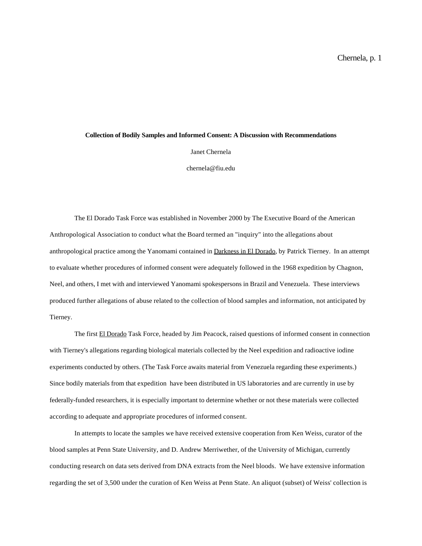# **Collection of Bodily Samples and Informed Consent: A Discussion with Recommendations**

Janet Chernela

chernela@fiu.edu

The El Dorado Task Force was established in November 2000 by The Executive Board of the American Anthropological Association to conduct what the Board termed an "inquiry" into the allegations about anthropological practice among the Yanomami contained in Darkness in El Dorado, by Patrick Tierney. In an attempt to evaluate whether procedures of informed consent were adequately followed in the 1968 expedition by Chagnon, Neel, and others, I met with and interviewed Yanomami spokespersons in Brazil and Venezuela. These interviews produced further allegations of abuse related to the collection of blood samples and information, not anticipated by Tierney.

The first El Dorado Task Force, headed by Jim Peacock, raised questions of informed consent in connection with Tierney's allegations regarding biological materials collected by the Neel expedition and radioactive iodine experiments conducted by others. (The Task Force awaits material from Venezuela regarding these experiments.) Since bodily materials from that expedition have been distributed in US laboratories and are currently in use by federally-funded researchers, it is especially important to determine whether or not these materials were collected according to adequate and appropriate procedures of informed consent.

In attempts to locate the samples we have received extensive cooperation from Ken Weiss, curator of the blood samples at Penn State University, and D. Andrew Merriwether, of the University of Michigan, currently conducting research on data sets derived from DNA extracts from the Neel bloods. We have extensive information regarding the set of 3,500 under the curation of Ken Weiss at Penn State. An aliquot (subset) of Weiss' collection is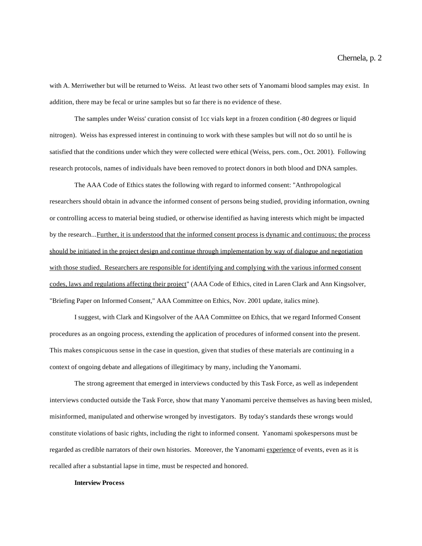with A. Merriwether but will be returned to Weiss. At least two other sets of Yanomami blood samples may exist. In addition, there may be fecal or urine samples but so far there is no evidence of these.

The samples under Weiss' curation consist of 1cc vials kept in a frozen condition (-80 degrees or liquid nitrogen). Weiss has expressed interest in continuing to work with these samples but will not do so until he is satisfied that the conditions under which they were collected were ethical (Weiss, pers. com., Oct. 2001). Following research protocols, names of individuals have been removed to protect donors in both blood and DNA samples.

The AAA Code of Ethics states the following with regard to informed consent: "Anthropological researchers should obtain in advance the informed consent of persons being studied, providing information, owning or controlling access to material being studied, or otherwise identified as having interests which might be impacted by the research...Further, it is understood that the informed consent process is dynamic and continuous; the process should be initiated in the project design and continue through implementation by way of dialogue and negotiation with those studied. Researchers are responsible for identifying and complying with the various informed consent codes, laws and regulations affecting their project" (AAA Code of Ethics, cited in Laren Clark and Ann Kingsolver, "Briefing Paper on Informed Consent," AAA Committee on Ethics, Nov. 2001 update, italics mine).

I suggest, with Clark and Kingsolver of the AAA Committee on Ethics, that we regard Informed Consent procedures as an ongoing process, extending the application of procedures of informed consent into the present. This makes conspicuous sense in the case in question, given that studies of these materials are continuing in a context of ongoing debate and allegations of illegitimacy by many, including the Yanomami.

The strong agreement that emerged in interviews conducted by this Task Force, as well as independent interviews conducted outside the Task Force, show that many Yanomami perceive themselves as having been misled, misinformed, manipulated and otherwise wronged by investigators. By today's standards these wrongs would constitute violations of basic rights, including the right to informed consent. Yanomami spokespersons must be regarded as credible narrators of their own histories. Moreover, the Yanomami experience of events, even as it is recalled after a substantial lapse in time, must be respected and honored.

## **Interview Process**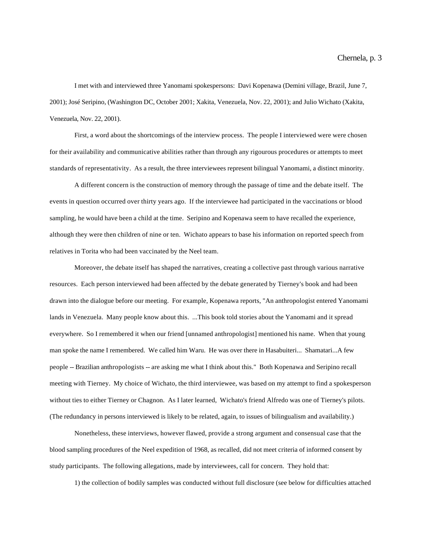I met with and interviewed three Yanomami spokespersons: Davi Kopenawa (Demini village, Brazil, June 7, 2001); José Seripino, (Washington DC, October 2001; Xakita, Venezuela, Nov. 22, 2001); and Julio Wichato (Xakita, Venezuela, Nov. 22, 2001).

First, a word about the shortcomings of the interview process. The people I interviewed were were chosen for their availability and communicative abilities rather than through any rigourous procedures or attempts to meet standards of representativity. As a result, the three interviewees represent bilingual Yanomami, a distinct minority.

A different concern is the construction of memory through the passage of time and the debate itself. The events in question occurred over thirty years ago. If the interviewee had participated in the vaccinations or blood sampling, he would have been a child at the time. Seripino and Kopenawa seem to have recalled the experience, although they were then children of nine or ten. Wichato appears to base his information on reported speech from relatives in Torita who had been vaccinated by the Neel team.

Moreover, the debate itself has shaped the narratives, creating a collective past through various narrative resources. Each person interviewed had been affected by the debate generated by Tierney's book and had been drawn into the dialogue before our meeting. For example, Kopenawa reports, "An anthropologist entered Yanomami lands in Venezuela. Many people know about this. ...This book told stories about the Yanomami and it spread everywhere. So I remembered it when our friend [unnamed anthropologist] mentioned his name. When that young man spoke the name I remembered. We called him Waru. He was over there in Hasabuiteri... Shamatari...A few people -- Brazilian anthropologists -- are asking me what I think about this." Both Kopenawa and Seripino recall meeting with Tierney. My choice of Wichato, the third interviewee, was based on my attempt to find a spokesperson without ties to either Tierney or Chagnon. As I later learned, Wichato's friend Alfredo was one of Tierney's pilots. (The redundancy in persons interviewed is likely to be related, again, to issues of bilingualism and availability.)

Nonetheless, these interviews, however flawed, provide a strong argument and consensual case that the blood sampling procedures of the Neel expedition of 1968, as recalled, did not meet criteria of informed consent by study participants. The following allegations, made by interviewees, call for concern. They hold that:

1) the collection of bodily samples was conducted without full disclosure (see below for difficulties attached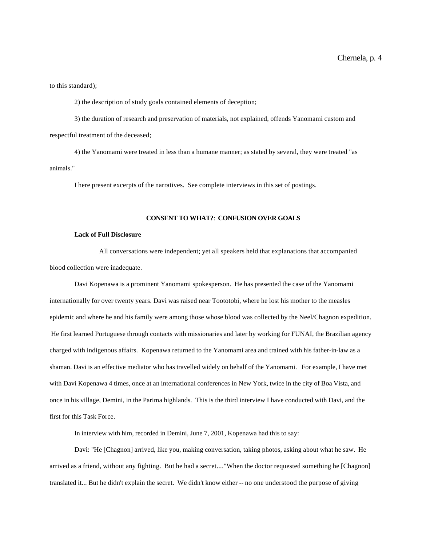to this standard);

2) the description of study goals contained elements of deception;

3) the duration of research and preservation of materials, not explained, offends Yanomami custom and respectful treatment of the deceased;

4) the Yanomami were treated in less than a humane manner; as stated by several, they were treated "as animals."

I here present excerpts of the narratives. See complete interviews in this set of postings.

# **CONSENT TO WHAT?**: **CONFUSION OVER GOALS**

# **Lack of Full Disclosure**

All conversations were independent; yet all speakers held that explanations that accompanied blood collection were inadequate.

Davi Kopenawa is a prominent Yanomami spokesperson. He has presented the case of the Yanomami internationally for over twenty years. Davi was raised near Toototobi, where he lost his mother to the measles epidemic and where he and his family were among those whose blood was collected by the Neel/Chagnon expedition. He first learned Portuguese through contacts with missionaries and later by working for FUNAI, the Brazilian agency charged with indigenous affairs. Kopenawa returned to the Yanomami area and trained with his father-in-law as a shaman. Davi is an effective mediator who has travelled widely on behalf of the Yanomami. For example, I have met with Davi Kopenawa 4 times, once at an international conferences in New York, twice in the city of Boa Vista, and once in his village, Demini, in the Parima highlands. This is the third interview I have conducted with Davi, and the first for this Task Force.

In interview with him, recorded in Demini, June 7, 2001, Kopenawa had this to say:

Davi: "He [Chagnon] arrived, like you, making conversation, taking photos, asking about what he saw. He arrived as a friend, without any fighting. But he had a secret...."When the doctor requested something he [Chagnon] translated it... But he didn't explain the secret. We didn't know either -- no one understood the purpose of giving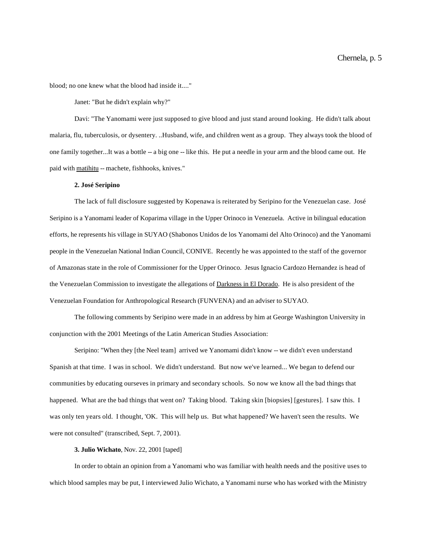blood; no one knew what the blood had inside it...."

Janet: "But he didn't explain why?"

Davi: "The Yanomami were just supposed to give blood and just stand around looking. He didn't talk about malaria, flu, tuberculosis, or dysentery. ..Husband, wife, and children went as a group. They always took the blood of one family together...It was a bottle -- a big one -- like this. He put a needle in your arm and the blood came out. He paid with matihitu -- machete, fishhooks, knives."

# **2. José Seripino**

The lack of full disclosure suggested by Kopenawa is reiterated by Seripino for the Venezuelan case. José Seripino is a Yanomami leader of Koparima village in the Upper Orinoco in Venezuela. Active in bilingual education efforts, he represents his village in SUYAO (Shabonos Unidos de los Yanomami del Alto Orinoco) and the Yanomami people in the Venezuelan National Indian Council, CONIVE. Recently he was appointed to the staff of the governor of Amazonas state in the role of Commissioner for the Upper Orinoco. Jesus Ignacio Cardozo Hernandez is head of the Venezuelan Commission to investigate the allegations of Darkness in El Dorado. He is also president of the Venezuelan Foundation for Anthropological Research (FUNVENA) and an adviser to SUYAO.

The following comments by Seripino were made in an address by him at George Washington University in conjunction with the 2001 Meetings of the Latin American Studies Association:

Seripino: "When they [the Neel team] arrived we Yanomami didn't know -- we didn't even understand Spanish at that time. I was in school. We didn't understand. But now we've learned... We began to defend our communities by educating ourseves in primary and secondary schools. So now we know all the bad things that happened. What are the bad things that went on? Taking blood. Taking skin [biopsies] [gestures]. I saw this. I was only ten years old. I thought, 'OK. This will help us. But what happened? We haven't seen the results. We were not consulted" (transcribed, Sept. 7, 2001).

## **3. Julio Wichato**, Nov. 22, 2001 [taped]

In order to obtain an opinion from a Yanomami who was familiar with health needs and the positive uses to which blood samples may be put, I interviewed Julio Wichato, a Yanomami nurse who has worked with the Ministry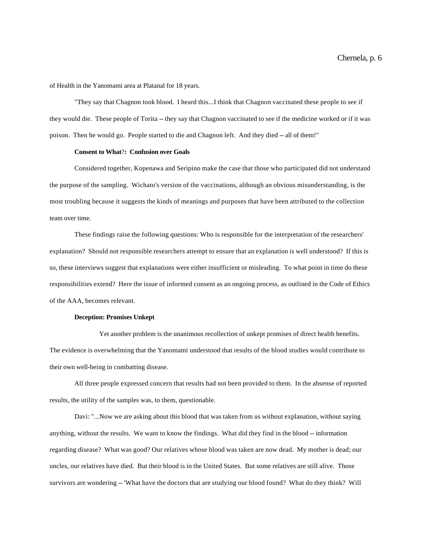of Health in the Yanomami area at Platanal for 18 years.

"They say that Chagnon took blood. I heard this...I think that Chagnon vaccinated these people to see if they would die. These people of Torita -- they say that Chagnon vaccinated to see if the medicine worked or if it was poison. Then he would go. People started to die and Chagnon left. And they died -- all of them!"

# **Consent to What**?**: Confusion over Goals**

Considered together, Kopenawa and Seripino make the case that those who participated did not understand the purpose of the sampling. Wichato's version of the vaccinations, although an obvious misunderstanding, is the most troubling because it suggests the kinds of meanings and purposes that have been attributed to the collection team over time.

These findings raise the following questions: Who is responsible for the interpretation of the researchers' explanation? Should not responsible researchers attempt to ensure that an explanation is well understood? If this is so, these interviews suggest that explanations were either insufficient or misleading. To what point in time do these responsibilities extend? Here the issue of informed consent as an ongoing process, as outlined in the Code of Ethics of the AAA, becomes relevant.

# **Deception: Promises Unkept**

Yet another problem is the unanimous recollection of unkept promises of direct health benefits. The evidence is overwhelming that the Yanomami understood that results of the blood studies would contribute to their own well-being in combatting disease.

All three people expressed concern that results had not been provided to them. In the absense of reported results, the utility of the samples was, to them, questionable.

Davi: "...Now we are asking about this blood that was taken from us without explanation, without saying anything, without the results. We want to know the findings. What did they find in the blood -- information regarding disease? What was good? Our relatives whose blood was taken are now dead. My mother is dead; our uncles, our relatives have died. But their blood is in the United States. But some relatives are still alive. Those survivors are wondering -- 'What have the doctors that are studying our blood found? What do they think? Will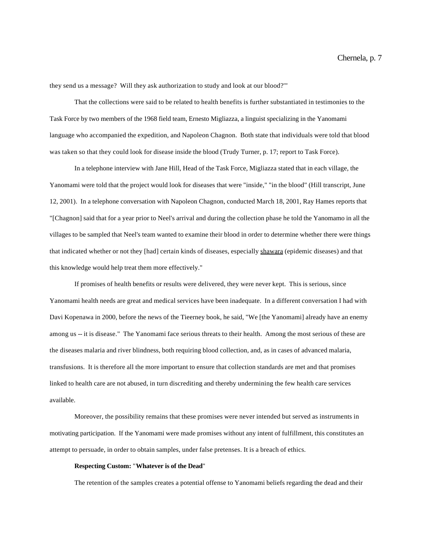they send us a message? Will they ask authorization to study and look at our blood?'"

That the collections were said to be related to health benefits is further substantiated in testimonies to the Task Force by two members of the 1968 field team, Ernesto Migliazza, a linguist specializing in the Yanomami language who accompanied the expedition, and Napoleon Chagnon. Both state that individuals were told that blood was taken so that they could look for disease inside the blood (Trudy Turner, p. 17; report to Task Force).

In a telephone interview with Jane Hill, Head of the Task Force, Migliazza stated that in each village, the Yanomami were told that the project would look for diseases that were "inside," "in the blood" (Hill transcript, June 12, 2001). In a telephone conversation with Napoleon Chagnon, conducted March 18, 2001, Ray Hames reports that "[Chagnon] said that for a year prior to Neel's arrival and during the collection phase he told the Yanomamo in all the villages to be sampled that Neel's team wanted to examine their blood in order to determine whether there were things that indicated whether or not they [had] certain kinds of diseases, especially shawara (epidemic diseases) and that this knowledge would help treat them more effectively."

If promises of health benefits or results were delivered, they were never kept. This is serious, since Yanomami health needs are great and medical services have been inadequate. In a different conversation I had with Davi Kopenawa in 2000, before the news of the Tieerney book, he said, "We [the Yanomami] already have an enemy among us -- it is disease." The Yanomami face serious threats to their health. Among the most serious of these are the diseases malaria and river blindness, both requiring blood collection, and, as in cases of advanced malaria, transfusions. It is therefore all the more important to ensure that collection standards are met and that promises linked to health care are not abused, in turn discrediting and thereby undermining the few health care services available.

Moreover, the possibility remains that these promises were never intended but served as instruments in motivating participation. If the Yanomami were made promises without any intent of fulfillment, this constitutes an attempt to persuade, in order to obtain samples, under false pretenses. It is a breach of ethics.

# **Respecting Custom:** "**Whatever is of the Dead**"

The retention of the samples creates a potential offense to Yanomami beliefs regarding the dead and their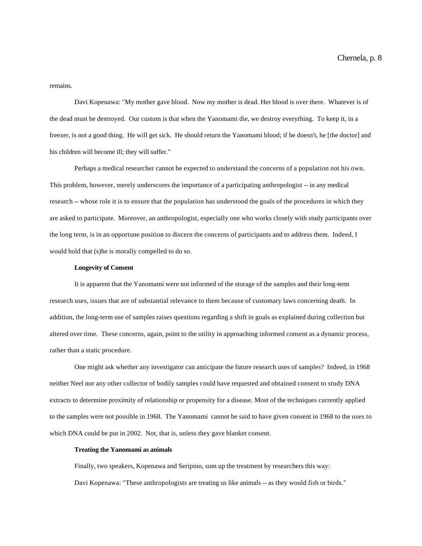# remains.

Davi Kopenawa: "My mother gave blood. Now my mother is dead. Her blood is over there. Whatever is of the dead must be destroyed. Our custom is that when the Yanomami die, we destroy everything. To keep it, in a freezer, is not a good thing. He will get sick. He should return the Yanomami blood; if he doesn't, he [the doctor] and his children will become ill; they will suffer."

Perhaps a medical researcher cannot be expected to understand the concerns of a population not his own. This problem, however, merely underscores the importance of a participating anthropologist -- in any medical research -- whose role it is to ensure that the population has understood the goals of the procedures in which they are asked to participate. Moreover, an anthropologist, especially one who works closely with study participants over the long term, is in an opportune position to discern the concerns of participants and to address them. Indeed, I would hold that (s)he is morally compelled to do so.

#### **Longevity of Consent**

It is apparent that the Yanomami were not informed of the storage of the samples and their long-term research uses, issues that are of substantial relevance to them because of customary laws concerning death. In addition, the long-term use of samples raises questions regarding a shift in goals as explained during collection but altered over time. These concerns, again, point to the utility in approaching informed consent as a dynamic process, rather than a static procedure.

One might ask whether any investigator can anticipate the future research uses of samples? Indeed, in 1968 neither Neel nor any other collector of bodily samples could have requested and obtained consent to study DNA extracts to determine proximity of relationship or propensity for a disease. Most of the techniques currently applied to the samples were not possible in 1968. The Yanomami cannot be said to have given consent in 1968 to the uses to which DNA could be put in 2002. Not, that is, unless they gave blanket consent.

## **Treating the Yanomami as animals**

Finally, two speakers, Kopenawa and Seripino, sum up the treatment by researchers this way: Davi Kopenawa: "These anthropologists are treating us like animals -- as they would fish or birds."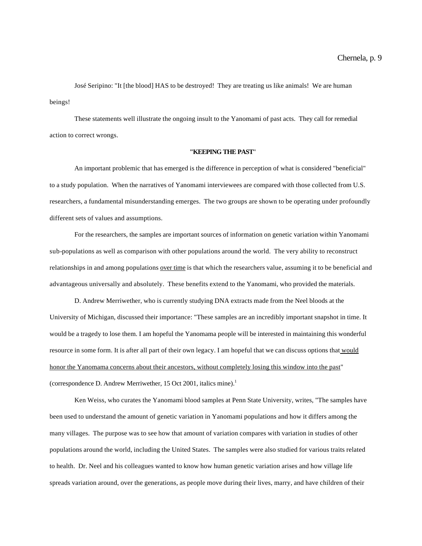José Seripino: "It [the blood] HAS to be destroyed! They are treating us like animals! We are human beings!

These statements well illustrate the ongoing insult to the Yanomami of past acts. They call for remedial action to correct wrongs.

# **"KEEPING THE PAST**"

An important problemic that has emerged is the difference in perception of what is considered "beneficial" to a study population. When the narratives of Yanomami interviewees are compared with those collected from U.S. researchers, a fundamental misunderstanding emerges. The two groups are shown to be operating under profoundly different sets of values and assumptions.

For the researchers, the samples are important sources of information on genetic variation within Yanomami sub-populations as well as comparison with other populations around the world. The very ability to reconstruct relationships in and among populations over time is that which the researchers value, assuming it to be beneficial and advantageous universally and absolutely. These benefits extend to the Yanomami, who provided the materials.

D. Andrew Merriwether, who is currently studying DNA extracts made from the Neel bloods at the University of Michigan, discussed their importance: "These samples are an incredibly important snapshot in time. It would be a tragedy to lose them. I am hopeful the Yanomama people will be interested in maintaining this wonderful resource in some form. It is after all part of their own legacy. I am hopeful that we can discuss options that would honor the Yanomama concerns about their ancestors, without completely losing this window into the past" (correspondence D. Andrew Merriwether, 15 Oct 2001, italics mine).<sup>1</sup>

Ken Weiss, who curates the Yanomami blood samples at Penn State University, writes, "The samples have been used to understand the amount of genetic variation in Yanomami populations and how it differs among the many villages. The purpose was to see how that amount of variation compares with variation in studies of other populations around the world, including the United States. The samples were also studied for various traits related to health. Dr. Neel and his colleagues wanted to know how human genetic variation arises and how village life spreads variation around, over the generations, as people move during their lives, marry, and have children of their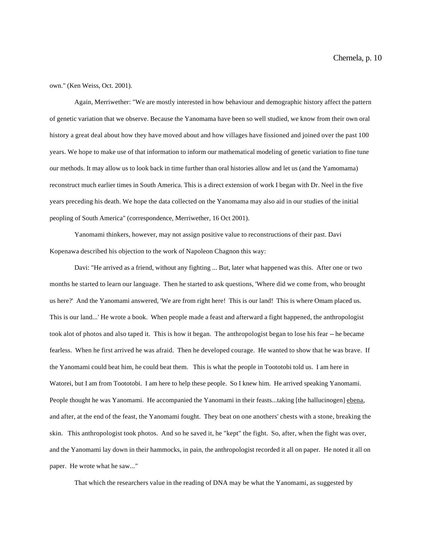own." (Ken Weiss, Oct. 2001).

Again, Merriwether: "We are mostly interested in how behaviour and demographic history affect the pattern of genetic variation that we observe. Because the Yanomama have been so well studied, we know from their own oral history a great deal about how they have moved about and how villages have fissioned and joined over the past 100 years. We hope to make use of that information to inform our mathematical modeling of genetic variation to fine tune our methods. It may allow us to look back in time further than oral histories allow and let us (and the Yamomama) reconstruct much earlier times in South America. This is a direct extension of work I began with Dr. Neel in the five years preceding his death. We hope the data collected on the Yanomama may also aid in our studies of the initial peopling of South America" (correspondence, Merriwether, 16 Oct 2001).

Yanomami thinkers, however, may not assign positive value to reconstructions of their past. Davi Kopenawa described his objection to the work of Napoleon Chagnon this way:

Davi: "He arrived as a friend, without any fighting ... But, later what happened was this. After one or two months he started to learn our language. Then he started to ask questions, 'Where did we come from, who brought us here?' And the Yanomami answered, 'We are from right here! This is our land! This is where Omam placed us. This is our land...' He wrote a book. When people made a feast and afterward a fight happened, the anthropologist took alot of photos and also taped it. This is how it began. The anthropologist began to lose his fear -- he became fearless. When he first arrived he was afraid. Then he developed courage. He wanted to show that he was brave. If the Yanomami could beat him, he could beat them. This is what the people in Toototobi told us. I am here in Watorei, but I am from Toototobi. I am here to help these people. So I knew him. He arrived speaking Yanomami. People thought he was Yanomami. He accompanied the Yanomami in their feasts...taking [the hallucinogen] ebena, and after, at the end of the feast, the Yanomami fought. They beat on one anothers' chests with a stone, breaking the skin. This anthropologist took photos. And so he saved it, he "kept" the fight. So, after, when the fight was over, and the Yanomami lay down in their hammocks, in pain, the anthropologist recorded it all on paper. He noted it all on paper. He wrote what he saw..."

That which the researchers value in the reading of DNA may be what the Yanomami, as suggested by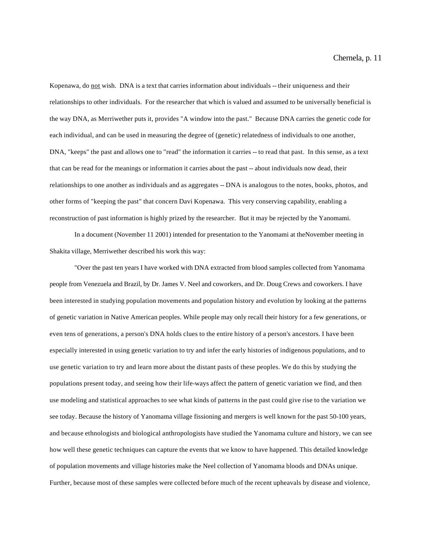Kopenawa, do not wish. DNA is a text that carries information about individuals -- their uniqueness and their relationships to other individuals. For the researcher that which is valued and assumed to be universally beneficial is the way DNA, as Merriwether puts it, provides "A window into the past." Because DNA carries the genetic code for each individual, and can be used in measuring the degree of (genetic) relatedness of individuals to one another, DNA, "keeps" the past and allows one to "read" the information it carries -- to read that past. In this sense, as a text that can be read for the meanings or information it carries about the past -- about individuals now dead, their relationships to one another as individuals and as aggregates -- DNA is analogous to the notes, books, photos, and other forms of "keeping the past" that concern Davi Kopenawa. This very conserving capability, enabling a reconstruction of past information is highly prized by the researcher. But it may be rejected by the Yanomami.

In a document (November 11 2001) intended for presentation to the Yanomami at theNovember meeting in Shakita village, Merriwether described his work this way:

"Over the past ten years I have worked with DNA extracted from blood samples collected from Yanomama people from Venezuela and Brazil, by Dr. James V. Neel and coworkers, and Dr. Doug Crews and coworkers. I have been interested in studying population movements and population history and evolution by looking at the patterns of genetic variation in Native American peoples. While people may only recall their history for a few generations, or even tens of generations, a person's DNA holds clues to the entire history of a person's ancestors. I have been especially interested in using genetic variation to try and infer the early histories of indigenous populations, and to use genetic variation to try and learn more about the distant pasts of these peoples. We do this by studying the populations present today, and seeing how their life-ways affect the pattern of genetic variation we find, and then use modeling and statistical approaches to see what kinds of patterns in the past could give rise to the variation we see today. Because the history of Yanomama village fissioning and mergers is well known for the past 50-100 years, and because ethnologists and biological anthropologists have studied the Yanomama culture and history, we can see how well these genetic techniques can capture the events that we know to have happened. This detailed knowledge of population movements and village histories make the Neel collection of Yanomama bloods and DNAs unique. Further, because most of these samples were collected before much of the recent upheavals by disease and violence,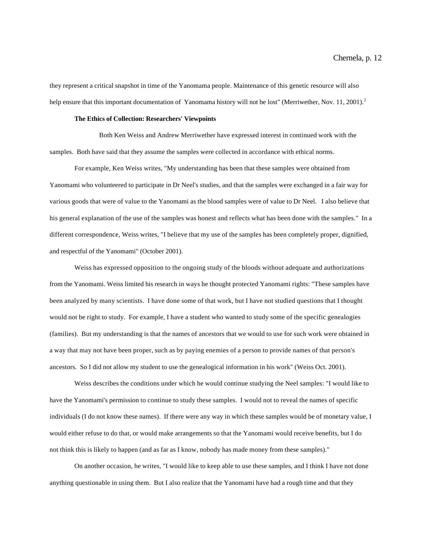they represent a critical snapshot in time of the Yanomama people. Maintenance of this genetic resource will also help ensure that this important documentation of Yanomama history will not be lost" (Merriwether, Nov. 11, 2001).<sup>2</sup>

### **The Ethics of Collection: Researchers' Viewpoints**

Both Ken Weiss and Andrew Merriwether have expressed interest in continued work with the samples. Both have said that they assume the samples were collected in accordance with ethical norms.

For example, Ken Weiss writes, "My understanding has been that these samples were obtained from Yanomami who volunteered to participate in Dr Neel's studies, and that the samples were exchanged in a fair way for various goods that were of value to the Yanomami as the blood samples were of value to Dr Neel. I also believe that his general explanation of the use of the samples was honest and reflects what has been done with the samples." In a different correspondence, Weiss writes, "I believe that my use of the samples has been completely proper, dignified, and respectful of the Yanomami" (October 2001).

Weiss has expressed opposition to the ongoing study of the bloods without adequate and authorizations from the Yanomami. Weiss limited his research in ways he thought protected Yanomami rights: "These samples have been analyzed by many scientists. I have done some of that work, but I have not studied questions that I thought would not be right to study. For example, I have a student who wanted to study some of the specific genealogies (families). But my understanding is that the names of ancestors that we would to use for such work were obtained in a way that may not have been proper, such as by paying enemies of a person to provide names of that person's ancestors. So I did not allow my student to use the genealogical information in his work" (Weiss Oct. 2001).

Weiss describes the conditions under which he would continue studying the Neel samples: "I would like to have the Yanomami's permission to continue to study these samples. I would not to reveal the names of specific individuals (I do not know these names). If there were any way in which these samples would be of monetary value, I would either refuse to do that, or would make arrangements so that the Yanomami would receive benefits, but I do not think this is likely to happen (and as far as I know, nobody has made money from these samples)."

On another occasion, he writes, "I would like to keep able to use these samples, and I think I have not done anything questionable in using them. But I also realize that the Yanomami have had a rough time and that they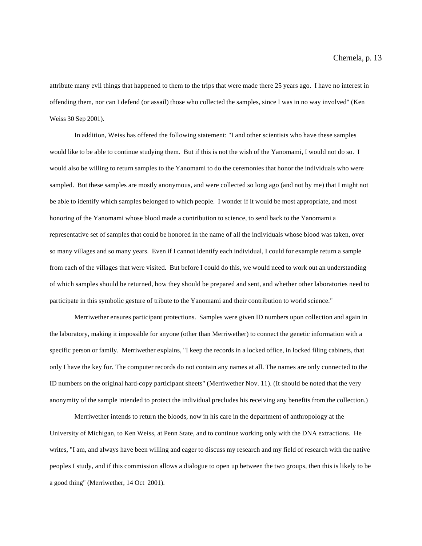attribute many evil things that happened to them to the trips that were made there 25 years ago. I have no interest in offending them, nor can I defend (or assail) those who collected the samples, since I was in no way involved" (Ken Weiss 30 Sep 2001).

In addition, Weiss has offered the following statement: "I and other scientists who have these samples would like to be able to continue studying them. But if this is not the wish of the Yanomami, I would not do so. I would also be willing to return samples to the Yanomami to do the ceremonies that honor the individuals who were sampled. But these samples are mostly anonymous, and were collected so long ago (and not by me) that I might not be able to identify which samples belonged to which people. I wonder if it would be most appropriate, and most honoring of the Yanomami whose blood made a contribution to science, to send back to the Yanomami a representative set of samples that could be honored in the name of all the individuals whose blood was taken, over so many villages and so many years. Even if I cannot identify each individual, I could for example return a sample from each of the villages that were visited. But before I could do this, we would need to work out an understanding of which samples should be returned, how they should be prepared and sent, and whether other laboratories need to participate in this symbolic gesture of tribute to the Yanomami and their contribution to world science."

Merriwether ensures participant protections. Samples were given ID numbers upon collection and again in the laboratory, making it impossible for anyone (other than Merriwether) to connect the genetic information with a specific person or family. Merriwether explains, "I keep the records in a locked office, in locked filing cabinets, that only I have the key for. The computer records do not contain any names at all. The names are only connected to the ID numbers on the original hard-copy participant sheets" (Merriwether Nov. 11). (It should be noted that the very anonymity of the sample intended to protect the individual precludes his receiving any benefits from the collection.)

Merriwether intends to return the bloods, now in his care in the department of anthropology at the University of Michigan, to Ken Weiss, at Penn State, and to continue working only with the DNA extractions. He writes, "I am, and always have been willing and eager to discuss my research and my field of research with the native peoples I study, and if this commission allows a dialogue to open up between the two groups, then this is likely to be a good thing" (Merriwether, 14 Oct 2001).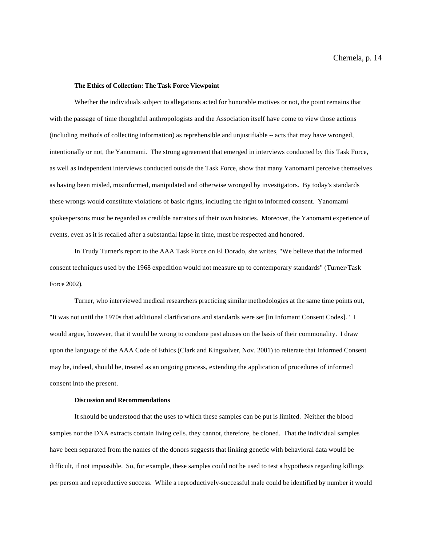### **The Ethics of Collection: The Task Force Viewpoint**

Whether the individuals subject to allegations acted for honorable motives or not, the point remains that with the passage of time thoughtful anthropologists and the Association itself have come to view those actions (including methods of collecting information) as reprehensible and unjustifiable -- acts that may have wronged, intentionally or not, the Yanomami. The strong agreement that emerged in interviews conducted by this Task Force, as well as independent interviews conducted outside the Task Force, show that many Yanomami perceive themselves as having been misled, misinformed, manipulated and otherwise wronged by investigators. By today's standards these wrongs would constitute violations of basic rights, including the right to informed consent. Yanomami spokespersons must be regarded as credible narrators of their own histories. Moreover, the Yanomami experience of events, even as it is recalled after a substantial lapse in time, must be respected and honored.

In Trudy Turner's report to the AAA Task Force on El Dorado, she writes, "We believe that the informed consent techniques used by the 1968 expedition would not measure up to contemporary standards" (Turner/Task Force 2002).

Turner, who interviewed medical researchers practicing similar methodologies at the same time points out, "It was not until the 1970s that additional clarifications and standards were set [in Infomant Consent Codes]." I would argue, however, that it would be wrong to condone past abuses on the basis of their commonality. I draw upon the language of the AAA Code of Ethics (Clark and Kingsolver, Nov. 2001) to reiterate that Informed Consent may be, indeed, should be, treated as an ongoing process, extending the application of procedures of informed consent into the present.

## **Discussion and Recommendations**

It should be understood that the uses to which these samples can be put is limited. Neither the blood samples nor the DNA extracts contain living cells. they cannot, therefore, be cloned. That the individual samples have been separated from the names of the donors suggests that linking genetic with behavioral data would be difficult, if not impossible. So, for example, these samples could not be used to test a hypothesis regarding killings per person and reproductive success. While a reproductively-successful male could be identified by number it would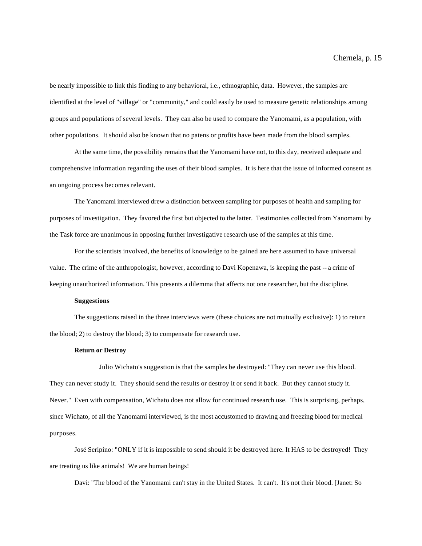be nearly impossible to link this finding to any behavioral, i.e., ethnographic, data. However, the samples are identified at the level of "village" or "community," and could easily be used to measure genetic relationships among groups and populations of several levels. They can also be used to compare the Yanomami, as a population, with other populations. It should also be known that no patens or profits have been made from the blood samples.

At the same time, the possibility remains that the Yanomami have not, to this day, received adequate and comprehensive information regarding the uses of their blood samples. It is here that the issue of informed consent as an ongoing process becomes relevant.

The Yanomami interviewed drew a distinction between sampling for purposes of health and sampling for purposes of investigation. They favored the first but objected to the latter. Testimonies collected from Yanomami by the Task force are unanimous in opposing further investigative research use of the samples at this time.

For the scientists involved, the benefits of knowledge to be gained are here assumed to have universal value. The crime of the anthropologist, however, according to Davi Kopenawa, is keeping the past -- a crime of keeping unauthorized information. This presents a dilemma that affects not one researcher, but the discipline.

### **Suggestions**

The suggestions raised in the three interviews were (these choices are not mutually exclusive): 1) to return the blood; 2) to destroy the blood; 3) to compensate for research use.

#### **Return or Destroy**

Julio Wichato's suggestion is that the samples be destroyed: "They can never use this blood. They can never study it. They should send the results or destroy it or send it back. But they cannot study it. Never." Even with compensation, Wichato does not allow for continued research use. This is surprising, perhaps, since Wichato, of all the Yanomami interviewed, is the most accustomed to drawing and freezing blood for medical purposes.

José Seripino: "ONLY if it is impossible to send should it be destroyed here. It HAS to be destroyed! They are treating us like animals! We are human beings!

Davi: "The blood of the Yanomami can't stay in the United States. It can't. It's not their blood. [Janet: So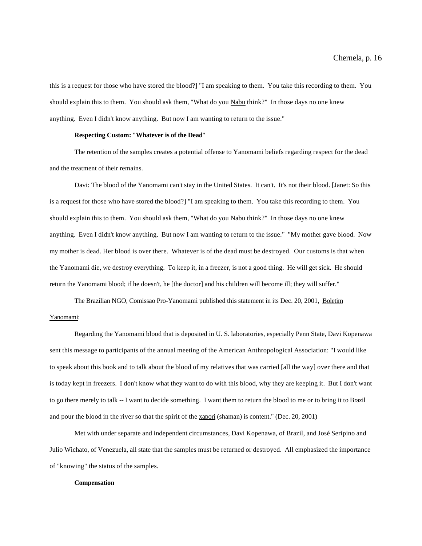this is a request for those who have stored the blood?] "I am speaking to them. You take this recording to them. You should explain this to them. You should ask them, "What do you Nabu think?" In those days no one knew anything. Even I didn't know anything. But now I am wanting to return to the issue."

## **Respecting Custom:** "**Whatever is of the Dead**"

The retention of the samples creates a potential offense to Yanomami beliefs regarding respect for the dead and the treatment of their remains.

Davi: The blood of the Yanomami can't stay in the United States. It can't. It's not their blood. [Janet: So this is a request for those who have stored the blood?] "I am speaking to them. You take this recording to them. You should explain this to them. You should ask them, "What do you Nabu think?" In those days no one knew anything. Even I didn't know anything. But now I am wanting to return to the issue." "My mother gave blood. Now my mother is dead. Her blood is over there. Whatever is of the dead must be destroyed. Our customs is that when the Yanomami die, we destroy everything. To keep it, in a freezer, is not a good thing. He will get sick. He should return the Yanomami blood; if he doesn't, he [the doctor] and his children will become ill; they will suffer."

The Brazilian NGO, Comissao Pro-Yanomami published this statement in its Dec. 20, 2001, Boletim Yanomami:

Regarding the Yanomami blood that is deposited in U. S. laboratories, especially Penn State, Davi Kopenawa sent this message to participants of the annual meeting of the American Anthropological Association: "I would like to speak about this book and to talk about the blood of my relatives that was carried [all the way] over there and that is today kept in freezers. I don't know what they want to do with this blood, why they are keeping it. But I don't want to go there merely to talk -- I want to decide something. I want them to return the blood to me or to bring it to Brazil and pour the blood in the river so that the spirit of the xapori (shaman) is content." (Dec. 20, 2001)

Met with under separate and independent circumstances, Davi Kopenawa, of Brazil, and José Seripino and Julio Wichato, of Venezuela, all state that the samples must be returned or destroyed. All emphasized the importance of "knowing" the status of the samples.

#### **Compensation**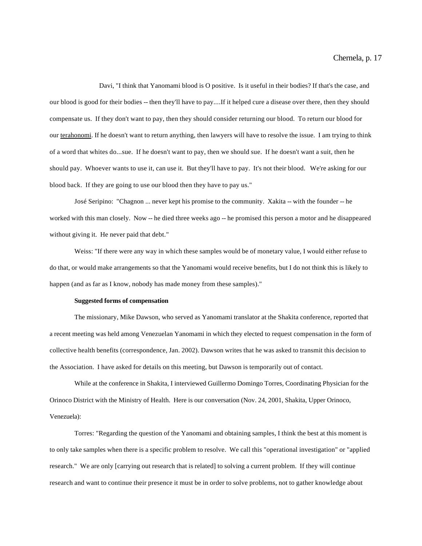Davi, "I think that Yanomami blood is O positive. Is it useful in their bodies? If that's the case, and our blood is good for their bodies -- then they'll have to pay....If it helped cure a disease over there, then they should compensate us. If they don't want to pay, then they should consider returning our blood. To return our blood for our terahonomi. If he doesn't want to return anything, then lawyers will have to resolve the issue. I am trying to think of a word that whites do...sue. If he doesn't want to pay, then we should sue. If he doesn't want a suit, then he should pay. Whoever wants to use it, can use it. But they'll have to pay. It's not their blood. We're asking for our blood back. If they are going to use our blood then they have to pay us."

José Seripino: "Chagnon ... never kept his promise to the community. Xakita -- with the founder -- he worked with this man closely. Now -- he died three weeks ago -- he promised this person a motor and he disappeared without giving it. He never paid that debt."

Weiss: "If there were any way in which these samples would be of monetary value, I would either refuse to do that, or would make arrangements so that the Yanomami would receive benefits, but I do not think this is likely to happen (and as far as I know, nobody has made money from these samples)."

# **Suggested forms of compensation**

The missionary, Mike Dawson, who served as Yanomami translator at the Shakita conference, reported that a recent meeting was held among Venezuelan Yanomami in which they elected to request compensation in the form of collective health benefits (correspondence, Jan. 2002). Dawson writes that he was asked to transmit this decision to the Association. I have asked for details on this meeting, but Dawson is temporarily out of contact.

While at the conference in Shakita, I interviewed Guillermo Domingo Torres, Coordinating Physician for the Orinoco District with the Ministry of Health. Here is our conversation (Nov. 24, 2001, Shakita, Upper Orinoco, Venezuela):

Torres: "Regarding the question of the Yanomami and obtaining samples, I think the best at this moment is to only take samples when there is a specific problem to resolve. We call this "operational investigation" or "applied research." We are only [carrying out research that is related] to solving a current problem. If they will continue research and want to continue their presence it must be in order to solve problems, not to gather knowledge about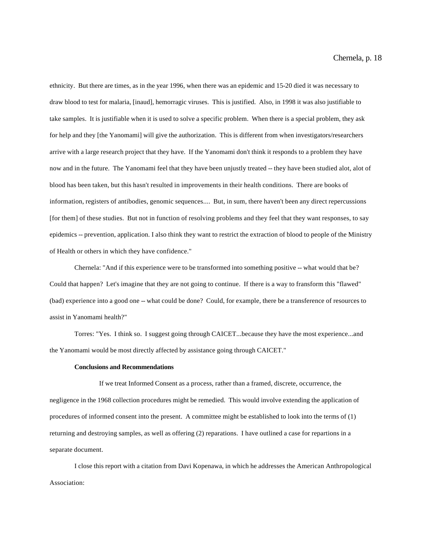ethnicity. But there are times, as in the year 1996, when there was an epidemic and 15-20 died it was necessary to draw blood to test for malaria, [inaud], hemorragic viruses. This is justified. Also, in 1998 it was also justifiable to take samples. It is justifiable when it is used to solve a specific problem. When there is a special problem, they ask for help and they [the Yanomami] will give the authorization. This is different from when investigators/researchers arrive with a large research project that they have. If the Yanomami don't think it responds to a problem they have now and in the future. The Yanomami feel that they have been unjustly treated -- they have been studied alot, alot of blood has been taken, but this hasn't resulted in improvements in their health conditions. There are books of information, registers of antibodies, genomic sequences.... But, in sum, there haven't been any direct repercussions [for them] of these studies. But not in function of resolving problems and they feel that they want responses, to say epidemics -- prevention, application. I also think they want to restrict the extraction of blood to people of the Ministry of Health or others in which they have confidence."

Chernela: "And if this experience were to be transformed into something positive -- what would that be? Could that happen? Let's imagine that they are not going to continue. If there is a way to fransform this "flawed" (bad) experience into a good one -- what could be done? Could, for example, there be a transference of resources to assist in Yanomami health?"

Torres: "Yes. I think so. I suggest going through CAICET...because they have the most experience...and the Yanomami would be most directly affected by assistance going through CAICET."

# **Conclusions and Recommendations**

If we treat Informed Consent as a process, rather than a framed, discrete, occurrence, the negligence in the 1968 collection procedures might be remedied. This would involve extending the application of procedures of informed consent into the present. A committee might be established to look into the terms of (1) returning and destroying samples, as well as offering (2) reparations. I have outlined a case for repartions in a separate document.

I close this report with a citation from Davi Kopenawa, in which he addresses the American Anthropological Association: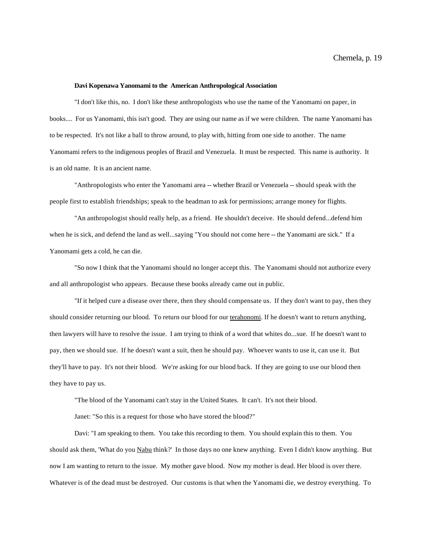## **Davi Kopenawa Yanomami to the American Anthropological Association**

"I don't like this, no. I don't like these anthropologists who use the name of the Yanomami on paper, in books.... For us Yanomami, this isn't good. They are using our name as if we were children. The name Yanomami has to be respected. It's not like a ball to throw around, to play with, hitting from one side to another. The name Yanomami refers to the indigenous peoples of Brazil and Venezuela. It must be respected. This name is authority. It is an old name. It is an ancient name.

"Anthropologists who enter the Yanomami area -- whether Brazil or Venezuela -- should speak with the people first to establish friendships; speak to the headman to ask for permissions; arrange money for flights.

"An anthropologist should really help, as a friend. He shouldn't deceive. He should defend...defend him when he is sick, and defend the land as well...saying "You should not come here -- the Yanomami are sick." If a Yanomami gets a cold, he can die.

"So now I think that the Yanomami should no longer accept this. The Yanomami should not authorize every and all anthropologist who appears. Because these books already came out in public.

"If it helped cure a disease over there, then they should compensate us. If they don't want to pay, then they should consider returning our blood. To return our blood for our terahonomi. If he doesn't want to return anything, then lawyers will have to resolve the issue. I am trying to think of a word that whites do...sue. If he doesn't want to pay, then we should sue. If he doesn't want a suit, then he should pay. Whoever wants to use it, can use it. But they'll have to pay. It's not their blood. We're asking for our blood back. If they are going to use our blood then they have to pay us.

"The blood of the Yanomami can't stay in the United States. It can't. It's not their blood.

Janet: "So this is a request for those who have stored the blood?"

Davi: "I am speaking to them. You take this recording to them. You should explain this to them. You should ask them, 'What do you Nabu think?' In those days no one knew anything. Even I didn't know anything. But now I am wanting to return to the issue. My mother gave blood. Now my mother is dead. Her blood is over there. Whatever is of the dead must be destroyed. Our customs is that when the Yanomami die, we destroy everything. To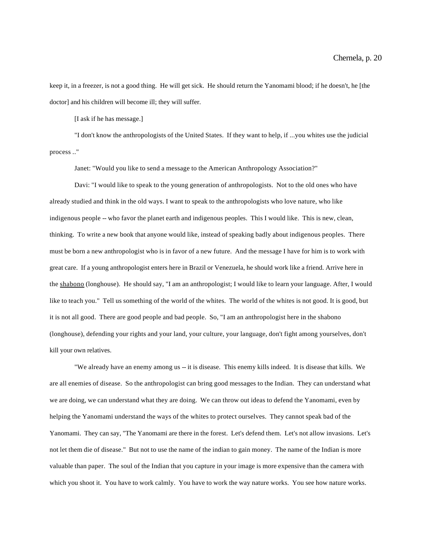keep it, in a freezer, is not a good thing. He will get sick. He should return the Yanomami blood; if he doesn't, he [the doctor] and his children will become ill; they will suffer.

[I ask if he has message.]

"I don't know the anthropologists of the United States. If they want to help, if ...you whites use the judicial process .."

Janet: "Would you like to send a message to the American Anthropology Association?"

Davi: "I would like to speak to the young generation of anthropologists. Not to the old ones who have already studied and think in the old ways. I want to speak to the anthropologists who love nature, who like indigenous people -- who favor the planet earth and indigenous peoples. This I would like. This is new, clean, thinking. To write a new book that anyone would like, instead of speaking badly about indigenous peoples. There must be born a new anthropologist who is in favor of a new future. And the message I have for him is to work with great care. If a young anthropologist enters here in Brazil or Venezuela, he should work like a friend. Arrive here in the shabono (longhouse). He should say, "I am an anthropologist; I would like to learn your language. After, I would like to teach you." Tell us something of the world of the whites. The world of the whites is not good. It is good, but it is not all good. There are good people and bad people. So, "I am an anthropologist here in the shabono (longhouse), defending your rights and your land, your culture, your language, don't fight among yourselves, don't kill your own relatives.

"We already have an enemy among us -- it is disease. This enemy kills indeed. It is disease that kills. We are all enemies of disease. So the anthropologist can bring good messages to the Indian. They can understand what we are doing, we can understand what they are doing. We can throw out ideas to defend the Yanomami, even by helping the Yanomami understand the ways of the whites to protect ourselves. They cannot speak bad of the Yanomami. They can say, "The Yanomami are there in the forest. Let's defend them. Let's not allow invasions. Let's not let them die of disease." But not to use the name of the indian to gain money. The name of the Indian is more valuable than paper. The soul of the Indian that you capture in your image is more expensive than the camera with which you shoot it. You have to work calmly. You have to work the way nature works. You see how nature works.